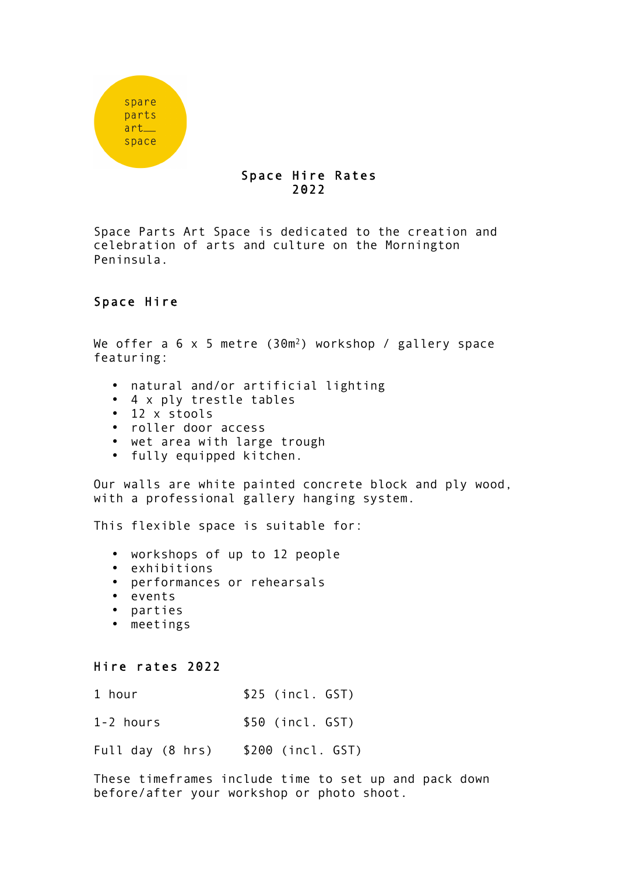

## Space Hire Rates 2022

Space Parts Art Space is dedicated to the creation and celebration of arts and culture on the Mornington Peninsula.

## Space Hire

We offer a 6 x 5 metre (30m<sup>2</sup>) workshop / gallery space featuring:

- natural and/or artificial lighting
- 4 x ply trestle tables
- 12 x stools
- roller door access
- wet area with large trough
- fully equipped kitchen.

Our walls are white painted concrete block and ply wood, with a professional gallery hanging system.

This flexible space is suitable for:

- workshops of up to 12 people
- exhibitions
- performances or rehearsals
- events
- parties
- meetings

## Hire rates 2022

1 hour \$25 (incl. GST)

1-2 hours \$50 (incl. GST)

Full day (8 hrs) \$200 (incl. GST)

These timeframes include time to set up and pack down before/after your workshop or photo shoot.